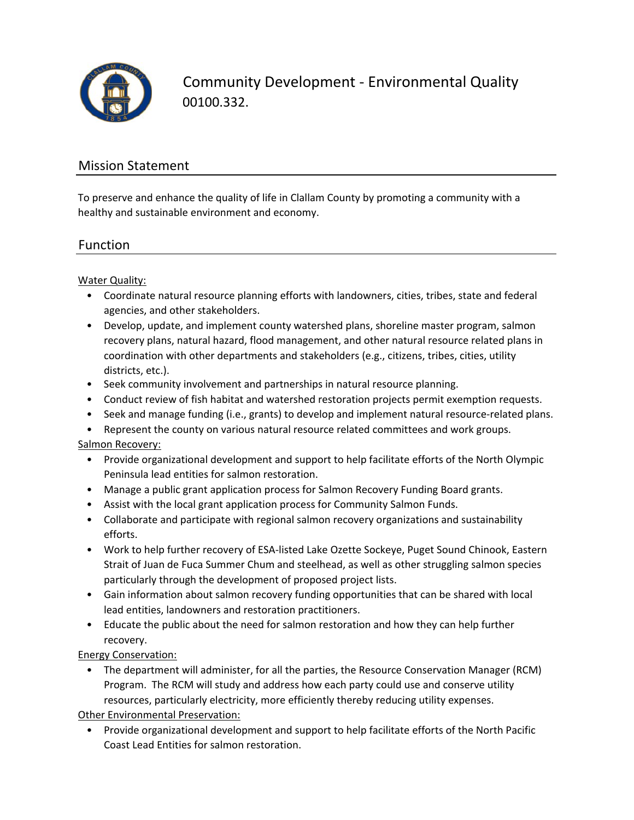

Community Development ‐ Environmental Quality 00100.332.

# Mission Statement

To preserve and enhance the quality of life in Clallam County by promoting a community with a healthy and sustainable environment and economy.

## Function

Water Quality:

- Coordinate natural resource planning efforts with landowners, cities, tribes, state and federal agencies, and other stakeholders.
- Develop, update, and implement county watershed plans, shoreline master program, salmon recovery plans, natural hazard, flood management, and other natural resource related plans in coordination with other departments and stakeholders (e.g., citizens, tribes, cities, utility districts, etc.).
- Seek community involvement and partnerships in natural resource planning.
- Conduct review of fish habitat and watershed restoration projects permit exemption requests.
- Seek and manage funding (i.e., grants) to develop and implement natural resource‐related plans.

• Represent the county on various natural resource related committees and work groups. Salmon Recovery:

- Provide organizational development and support to help facilitate efforts of the North Olympic Peninsula lead entities for salmon restoration.
	- Manage a public grant application process for Salmon Recovery Funding Board grants.
	- Assist with the local grant application process for Community Salmon Funds.
	- Collaborate and participate with regional salmon recovery organizations and sustainability efforts.
	- Work to help further recovery of ESA‐listed Lake Ozette Sockeye, Puget Sound Chinook, Eastern Strait of Juan de Fuca Summer Chum and steelhead, as well as other struggling salmon species particularly through the development of proposed project lists.
- Gain information about salmon recovery funding opportunities that can be shared with local lead entities, landowners and restoration practitioners.
- Educate the public about the need for salmon restoration and how they can help further recovery.

Energy Conservation:

• The department will administer, for all the parties, the Resource Conservation Manager (RCM) Program. The RCM will study and address how each party could use and conserve utility resources, particularly electricity, more efficiently thereby reducing utility expenses.

Other Environmental Preservation:

• Provide organizational development and support to help facilitate efforts of the North Pacific Coast Lead Entities for salmon restoration.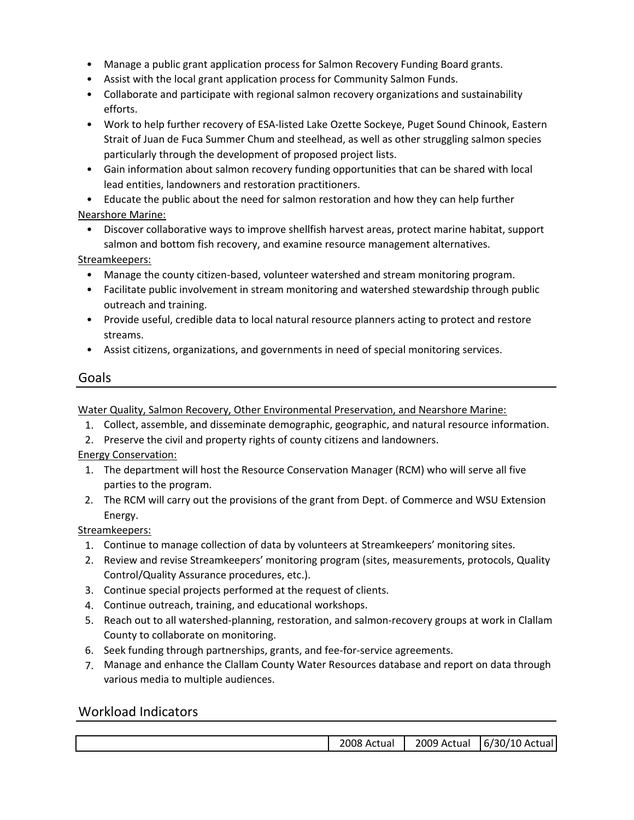- Manage a public grant application process for Salmon Recovery Funding Board grants.
- Assist with the local grant application process for Community Salmon Funds.
- Collaborate and participate with regional salmon recovery organizations and sustainability efforts.
- Work to help further recovery of ESA‐listed Lake Ozette Sockeye, Puget Sound Chinook, Eastern Strait of Juan de Fuca Summer Chum and steelhead, as well as other struggling salmon species particularly through the development of proposed project lists.
- Gain information about salmon recovery funding opportunities that can be shared with local lead entities, landowners and restoration practitioners.
- Educate the public about the need for salmon restoration and how they can help further Nearshore Marine:
	- Discover collaborative ways to improve shellfish harvest areas, protect marine habitat, support salmon and bottom fish recovery, and examine resource management alternatives.

Streamkeepers:

- Manage the county citizen‐based, volunteer watershed and stream monitoring program.
- Facilitate public involvement in stream monitoring and watershed stewardship through public outreach and training.
- Provide useful, credible data to local natural resource planners acting to protect and restore streams.
- Assist citizens, organizations, and governments in need of special monitoring services.

# Goals

Water Quality, Salmon Recovery, Other Environmental Preservation, and Nearshore Marine:

- 1. Collect, assemble, and disseminate demographic, geographic, and natural resource information.
- 2. Preserve the civil and property rights of county citizens and landowners.

Energy Conservation:

- 1. The department will host the Resource Conservation Manager (RCM) who will serve all five parties to the program.
- 2. The RCM will carry out the provisions of the grant from Dept. of Commerce and WSU Extension Energy.

Streamkeepers:

- 1. Continue to manage collection of data by volunteers at Streamkeepers' monitoring sites.
- 2. Review and revise Streamkeepers' monitoring program (sites, measurements, protocols, Quality Control/Quality Assurance procedures, etc.).
- 3. Continue special projects performed at the request of clients.
- 4. Continue outreach, training, and educational workshops.
- 5. Reach out to all watershed‐planning, restoration, and salmon‐recovery groups at work in Clallam County to collaborate on monitoring.
- 6. Seek funding through partnerships, grants, and fee‐for‐service agreements.
- 7. Manage and enhance the Clallam County Water Resources database and report on data through various media to multiple audiences.

# Workload Indicators

| 2008.<br>. Actual | 2009<br>Actual<br>____ | /30/10<br>10 Ac<br>----<br>b/<br>tual |
|-------------------|------------------------|---------------------------------------|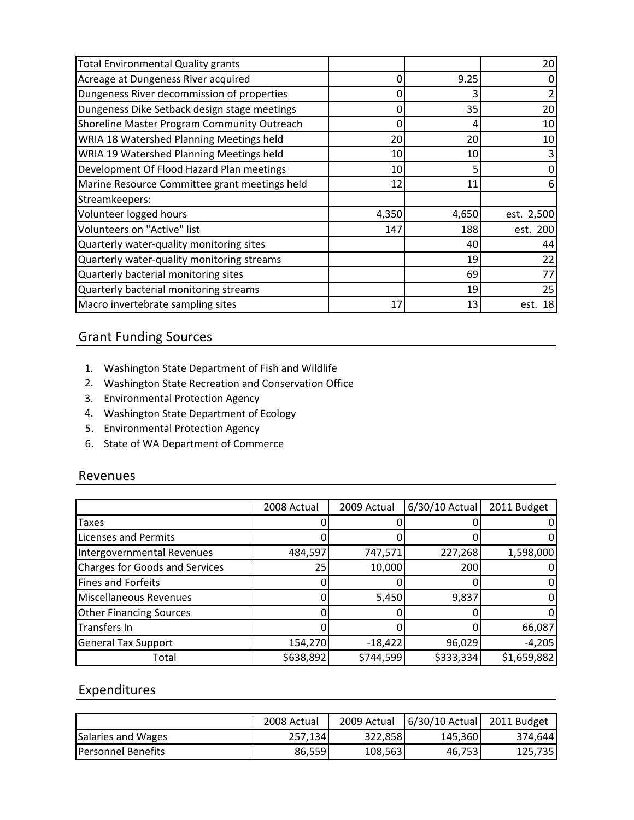| <b>Total Environmental Quality grants</b>     |       |       | 20         |
|-----------------------------------------------|-------|-------|------------|
| Acreage at Dungeness River acquired           | Ω     | 9.25  |            |
| Dungeness River decommission of properties    | 0     |       |            |
| Dungeness Dike Setback design stage meetings  | 0     | 35    | 20         |
| Shoreline Master Program Community Outreach   | 0     | 4     | 10         |
| WRIA 18 Watershed Planning Meetings held      | 20    | 20    | 10         |
| WRIA 19 Watershed Planning Meetings held      | 10    | 10    |            |
| Development Of Flood Hazard Plan meetings     | 10    |       |            |
| Marine Resource Committee grant meetings held | 12    | 11    | 6          |
| Streamkeepers:                                |       |       |            |
| Volunteer logged hours                        | 4,350 | 4,650 | est. 2,500 |
| Volunteers on "Active" list                   | 147   | 188   | est. 200   |
| Quarterly water-quality monitoring sites      |       | 40    | 44         |
| Quarterly water-quality monitoring streams    |       | 19    | 22         |
| Quarterly bacterial monitoring sites          |       | 69    | 77         |
| Quarterly bacterial monitoring streams        |       | 19    | 25         |
| Macro invertebrate sampling sites             | 17    | 13    | 18<br>est. |

# Grant Funding Sources

- 1. Washington State Department of Fish and Wildlife
- 2. Washington State Recreation and Conservation Office
- 3. Environmental Protection Agency
- 4. Washington State Department of Ecology
- 5. Environmental Protection Agency
- 6. State of WA Department of Commerce

#### Revenues

|                                       | 2008 Actual | 2009 Actual | 6/30/10 Actual | 2011 Budget |
|---------------------------------------|-------------|-------------|----------------|-------------|
| <b>Taxes</b>                          |             |             |                |             |
| <b>Licenses and Permits</b>           |             |             |                |             |
| Intergovernmental Revenues            | 484,597     | 747,571     | 227,268        | 1,598,000   |
| <b>Charges for Goods and Services</b> | 25          | 10,000      | 200            |             |
| <b>Fines and Forfeits</b>             |             |             |                |             |
| Miscellaneous Revenues                |             | 5,450       | 9,837          |             |
| <b>Other Financing Sources</b>        |             |             |                |             |
| <b>Transfers In</b>                   |             |             |                | 66,087      |
| <b>General Tax Support</b>            | 154,270     | $-18,422$   | 96,029         | $-4,205$    |
| Total                                 | \$638,892   | \$744,599   | \$333,334      | \$1,659,882 |

## Expenditures

|                            | 2008 Actual | 2009 Actual | $6/30/10$ Actual | 2011 Budget |
|----------------------------|-------------|-------------|------------------|-------------|
| Salaries and Wages         | 257,134     | 322,858     | 145,360          | 374.644     |
| <b>IPersonnel Benefits</b> | 86,559      | 108,563     | 46,753           | 125,735     |